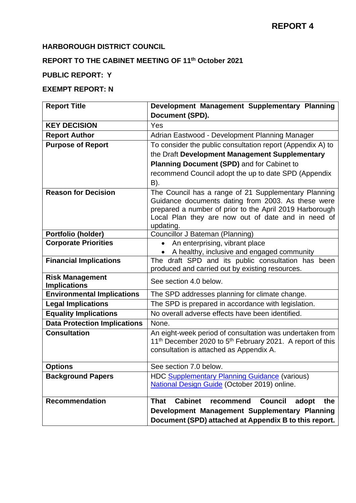### **HARBOROUGH DISTRICT COUNCIL**

## **REPORT TO THE CABINET MEETING OF 11th October 2021**

## **PUBLIC REPORT: Y**

## **EXEMPT REPORT: N**

| <b>Report Title</b>                           | Development Management Supplementary Planning                                                                 |  |  |
|-----------------------------------------------|---------------------------------------------------------------------------------------------------------------|--|--|
|                                               | Document (SPD).                                                                                               |  |  |
| <b>KEY DECISION</b>                           | Yes                                                                                                           |  |  |
| <b>Report Author</b>                          | Adrian Eastwood - Development Planning Manager                                                                |  |  |
| <b>Purpose of Report</b>                      | To consider the public consultation report (Appendix A) to                                                    |  |  |
|                                               | the Draft Development Management Supplementary                                                                |  |  |
|                                               | Planning Document (SPD) and for Cabinet to                                                                    |  |  |
|                                               | recommend Council adopt the up to date SPD (Appendix                                                          |  |  |
|                                               | B).                                                                                                           |  |  |
| <b>Reason for Decision</b>                    | The Council has a range of 21 Supplementary Planning                                                          |  |  |
|                                               | Guidance documents dating from 2003. As these were                                                            |  |  |
|                                               | prepared a number of prior to the April 2019 Harborough<br>Local Plan they are now out of date and in need of |  |  |
|                                               | updating.                                                                                                     |  |  |
| Portfolio (holder)                            | Councillor J Bateman (Planning)                                                                               |  |  |
| <b>Corporate Priorities</b>                   | An enterprising, vibrant place                                                                                |  |  |
|                                               | A healthy, inclusive and engaged community                                                                    |  |  |
| <b>Financial Implications</b>                 | The draft SPD and its public consultation has been                                                            |  |  |
|                                               | produced and carried out by existing resources.                                                               |  |  |
| <b>Risk Management</b><br><b>Implications</b> | See section 4.0 below.                                                                                        |  |  |
| <b>Environmental Implications</b>             | The SPD addresses planning for climate change.                                                                |  |  |
| <b>Legal Implications</b>                     | The SPD is prepared in accordance with legislation.                                                           |  |  |
| <b>Equality Implications</b>                  | No overall adverse effects have been identified.                                                              |  |  |
| <b>Data Protection Implications</b>           | None.                                                                                                         |  |  |
| <b>Consultation</b>                           | An eight-week period of consultation was undertaken from                                                      |  |  |
|                                               | 11 <sup>th</sup> December 2020 to 5 <sup>th</sup> February 2021. A report of this                             |  |  |
|                                               | consultation is attached as Appendix A.                                                                       |  |  |
| <b>Options</b>                                | See section 7.0 below.                                                                                        |  |  |
| <b>Background Papers</b>                      |                                                                                                               |  |  |
|                                               | HDC Supplementary Planning Guidance (various)<br>National Design Guide (October 2019) online.                 |  |  |
|                                               |                                                                                                               |  |  |
| <b>Recommendation</b>                         | <b>Cabinet</b><br><b>Council</b><br>the<br><b>That</b><br>recommend<br>adopt                                  |  |  |
|                                               | Development Management Supplementary Planning                                                                 |  |  |
|                                               | Document (SPD) attached at Appendix B to this report.                                                         |  |  |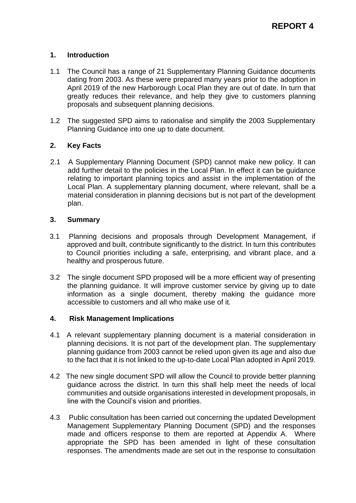#### **1. Introduction**

- 1.1 The Council has a range of 21 Supplementary Planning Guidance documents dating from 2003. As these were prepared many years prior to the adoption in April 2019 of the new Harborough Local Plan they are out of date. In turn that greatly reduces their relevance, and help they give to customers planning proposals and subsequent planning decisions.
- 1.2 The suggested SPD aims to rationalise and simplify the 2003 Supplementary Planning Guidance into one up to date document.

### **2. Key Facts**

2.1 A Supplementary Planning Document (SPD) cannot make new policy. It can add further detail to the policies in the Local Plan. In effect it can be guidance relating to important planning topics and assist in the implementation of the Local Plan. A supplementary planning document, where relevant, shall be a material consideration in planning decisions but is not part of the development plan.

#### **3. Summary**

- 3.1 Planning decisions and proposals through Development Management, if approved and built, contribute significantly to the district. In turn this contributes to Council priorities including a safe, enterprising, and vibrant place, and a healthy and prosperous future.
- 3.2 The single document SPD proposed will be a more efficient way of presenting the planning guidance. It will improve customer service by giving up to date information as a single document, thereby making the guidance more accessible to customers and all who make use of it.

#### **4. Risk Management Implications**

- 4.1 A relevant supplementary planning document is a material consideration in planning decisions. It is not part of the development plan. The supplementary planning guidance from 2003 cannot be relied upon given its age and also due to the fact that it is not linked to the up-to-date Local Plan adopted in April 2019.
- 4.2 The new single document SPD will allow the Council to provide better planning guidance across the district. In turn this shall help meet the needs of local communities and outside organisations interested in development proposals, in line with the Council's vision and priorities.
- 4.3 Public consultation has been carried out concerning the updated Development Management Supplementary Planning Document (SPD) and the responses made and officers response to them are reported at Appendix A. Where appropriate the SPD has been amended in light of these consultation responses. The amendments made are set out in the response to consultation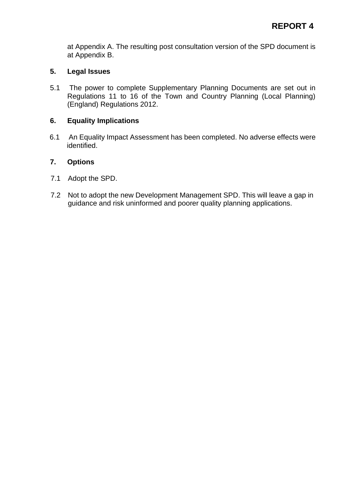at Appendix A. The resulting post consultation version of the SPD document is at Appendix B.

#### **5. Legal Issues**

5.1 The power to complete Supplementary Planning Documents are set out in Regulations 11 to 16 of the Town and Country Planning (Local Planning) (England) Regulations 2012.

#### **6. Equality Implications**

6.1 An Equality Impact Assessment has been completed. No adverse effects were identified.

#### **7. Options**

- 7.1 Adopt the SPD.
- 7.2 Not to adopt the new Development Management SPD. This will leave a gap in guidance and risk uninformed and poorer quality planning applications.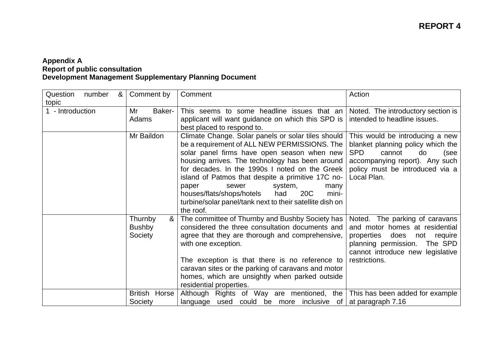#### **Appendix A Report of public consultation Development Management Supplementary Planning Document**

| Question<br>number<br>&<br>topic | Comment by                               | Comment                                                                                                                                                                                                                                                                                                                                                                                                                                                                                   | Action                                                                                                                                                                                              |
|----------------------------------|------------------------------------------|-------------------------------------------------------------------------------------------------------------------------------------------------------------------------------------------------------------------------------------------------------------------------------------------------------------------------------------------------------------------------------------------------------------------------------------------------------------------------------------------|-----------------------------------------------------------------------------------------------------------------------------------------------------------------------------------------------------|
| 1 - Introduction                 | Mr<br>Baker-<br>Adams                    | This seems to some headline issues that an<br>applicant will want guidance on which this SPD is<br>best placed to respond to.                                                                                                                                                                                                                                                                                                                                                             | Noted. The introductory section is<br>intended to headline issues.                                                                                                                                  |
|                                  | Mr Baildon                               | Climate Change. Solar panels or solar tiles should<br>be a requirement of ALL NEW PERMISSIONS. The<br>solar panel firms have open season when new<br>housing arrives. The technology has been around<br>for decades. In the 1990s I noted on the Greek<br>island of Patmos that despite a primitive 17C no-<br>sewer<br>system,<br>paper<br>many<br>houses/flats/shops/hotels<br>20 <sub>C</sub><br>had<br>mini-<br>turbine/solar panel/tank next to their satellite dish on<br>the roof. | This would be introducing a new<br>blanket planning policy which the<br><b>SPD</b><br>cannot<br>do<br>(see<br>accompanying report). Any such<br>policy must be introduced via a<br>Local Plan.      |
|                                  | &<br>Thurnby<br><b>Bushby</b><br>Society | The committee of Thurnby and Bushby Society has<br>considered the three consultation documents and<br>agree that they are thorough and comprehensive,<br>with one exception.<br>The exception is that there is no reference to<br>caravan sites or the parking of caravans and motor<br>homes, which are unsightly when parked outside<br>residential properties.                                                                                                                         | Noted.<br>The parking of caravans<br>and motor homes at residential<br>properties<br>does<br>require<br>not<br>planning permission.<br>The SPD<br>cannot introduce new legislative<br>restrictions. |
|                                  | <b>British</b><br>Horse<br>Society       | Although Rights of Way are mentioned, the<br>language used could be more inclusive of                                                                                                                                                                                                                                                                                                                                                                                                     | This has been added for example<br>at paragraph 7.16                                                                                                                                                |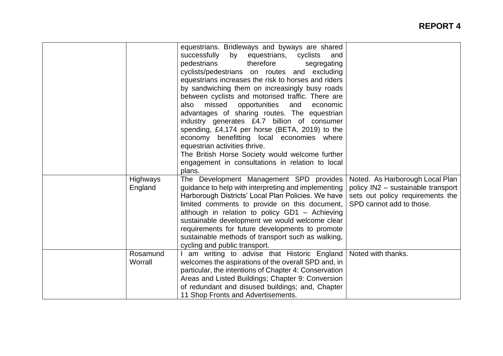|                            | equestrians. Bridleways and byways are shared<br>successfully<br>by<br>equestrians,<br>cyclists<br>and<br>pedestrians<br>therefore<br>segregating<br>cyclists/pedestrians on routes and excluding<br>equestrians increases the risk to horses and riders<br>by sandwiching them on increasingly busy roads<br>between cyclists and motorised traffic. There are<br>missed<br>opportunities<br>also<br>and<br>economic<br>advantages of sharing routes. The equestrian<br>industry generates £4.7 billion of consumer<br>spending, £4,174 per horse (BETA, 2019) to the<br>economy benefitting local economies where<br>equestrian activities thrive.<br>The British Horse Society would welcome further<br>engagement in consultations in relation to local |                                                                                                                                       |
|----------------------------|-------------------------------------------------------------------------------------------------------------------------------------------------------------------------------------------------------------------------------------------------------------------------------------------------------------------------------------------------------------------------------------------------------------------------------------------------------------------------------------------------------------------------------------------------------------------------------------------------------------------------------------------------------------------------------------------------------------------------------------------------------------|---------------------------------------------------------------------------------------------------------------------------------------|
| <b>Highways</b><br>England | plans.<br>The Development Management SPD provides<br>guidance to help with interpreting and implementing<br>Harborough Districts' Local Plan Policies. We have<br>limited comments to provide on this document,<br>although in relation to policy GD1 - Achieving<br>sustainable development we would welcome clear                                                                                                                                                                                                                                                                                                                                                                                                                                         | Noted. As Harborough Local Plan<br>policy IN2 - sustainable transport<br>sets out policy requirements the<br>SPD cannot add to those. |
| Rosamund<br>Worrall        | requirements for future developments to promote<br>sustainable methods of transport such as walking,<br>cycling and public transport.<br>I am writing to advise that Historic England<br>welcomes the aspirations of the overall SPD and, in<br>particular, the intentions of Chapter 4: Conservation<br>Areas and Listed Buildings; Chapter 9: Conversion<br>of redundant and disused buildings; and, Chapter                                                                                                                                                                                                                                                                                                                                              | Noted with thanks.                                                                                                                    |
|                            | 11 Shop Fronts and Advertisements.                                                                                                                                                                                                                                                                                                                                                                                                                                                                                                                                                                                                                                                                                                                          |                                                                                                                                       |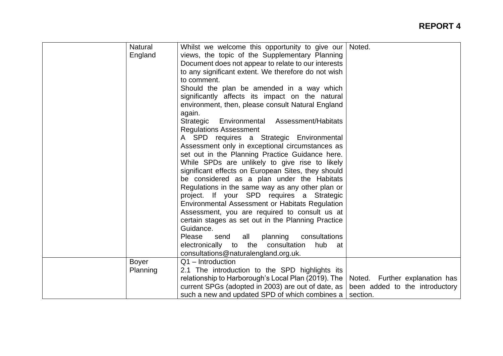| <b>Natural</b> | Whilst we welcome this opportunity to give our      | Noted.                         |
|----------------|-----------------------------------------------------|--------------------------------|
| England        | views, the topic of the Supplementary Planning      |                                |
|                | Document does not appear to relate to our interests |                                |
|                | to any significant extent. We therefore do not wish |                                |
|                | to comment.                                         |                                |
|                | Should the plan be amended in a way which           |                                |
|                | significantly affects its impact on the natural     |                                |
|                | environment, then, please consult Natural England   |                                |
|                | again.                                              |                                |
|                | Strategic<br>Environmental<br>Assessment/Habitats   |                                |
|                | <b>Regulations Assessment</b>                       |                                |
|                | A SPD requires a Strategic Environmental            |                                |
|                | Assessment only in exceptional circumstances as     |                                |
|                | set out in the Planning Practice Guidance here.     |                                |
|                | While SPDs are unlikely to give rise to likely      |                                |
|                | significant effects on European Sites, they should  |                                |
|                | be considered as a plan under the Habitats          |                                |
|                | Regulations in the same way as any other plan or    |                                |
|                | project. If your SPD requires a Strategic           |                                |
|                | Environmental Assessment or Habitats Regulation     |                                |
|                | Assessment, you are required to consult us at       |                                |
|                | certain stages as set out in the Planning Practice  |                                |
|                | Guidance.                                           |                                |
|                | all<br>planning<br>consultations<br>Please<br>send  |                                |
|                | electronically to<br>the consultation<br>hub<br>at  |                                |
|                | consultations@naturalengland.org.uk.                |                                |
| <b>Boyer</b>   | $Q1$ – Introduction                                 |                                |
| Planning       | 2.1 The introduction to the SPD highlights its      |                                |
|                | relationship to Harborough's Local Plan (2019). The | Noted. Further explanation has |
|                | current SPGs (adopted in 2003) are out of date, as  | been added to the introductory |
|                | such a new and updated SPD of which combines a      | section.                       |
|                |                                                     |                                |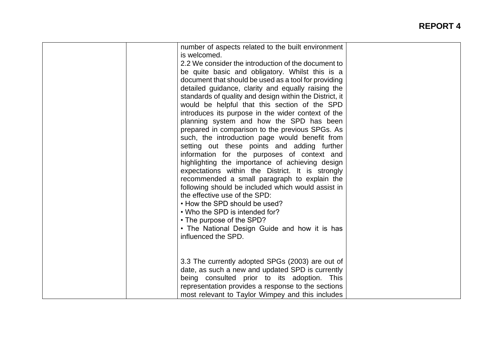| number of aspects related to the built environment<br>is welcomed.                                      |  |
|---------------------------------------------------------------------------------------------------------|--|
| 2.2 We consider the introduction of the document to                                                     |  |
|                                                                                                         |  |
| be quite basic and obligatory. Whilst this is a<br>document that should be used as a tool for providing |  |
|                                                                                                         |  |
| detailed guidance, clarity and equally raising the                                                      |  |
| standards of quality and design within the District, it                                                 |  |
| would be helpful that this section of the SPD                                                           |  |
| introduces its purpose in the wider context of the                                                      |  |
| planning system and how the SPD has been                                                                |  |
| prepared in comparison to the previous SPGs. As                                                         |  |
| such, the introduction page would benefit from                                                          |  |
| setting out these points and adding further                                                             |  |
| information for the purposes of context and                                                             |  |
| highlighting the importance of achieving design                                                         |  |
| expectations within the District. It is strongly                                                        |  |
| recommended a small paragraph to explain the                                                            |  |
| following should be included which would assist in                                                      |  |
| the effective use of the SPD:                                                                           |  |
| • How the SPD should be used?                                                                           |  |
| • Who the SPD is intended for?                                                                          |  |
| • The purpose of the SPD?                                                                               |  |
| • The National Design Guide and how it is has                                                           |  |
| influenced the SPD.                                                                                     |  |
|                                                                                                         |  |
|                                                                                                         |  |
| 3.3 The currently adopted SPGs (2003) are out of                                                        |  |
| date, as such a new and updated SPD is currently                                                        |  |
| being consulted prior to its adoption. This                                                             |  |
| representation provides a response to the sections                                                      |  |
| most relevant to Taylor Wimpey and this includes                                                        |  |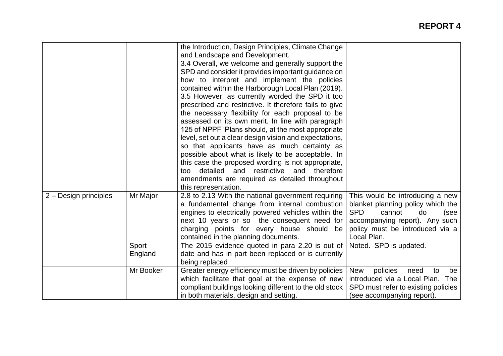|                       |           | the Introduction, Design Principles, Climate Change<br>and Landscape and Development.<br>3.4 Overall, we welcome and generally support the<br>SPD and consider it provides important guidance on<br>how to interpret and implement the policies<br>contained within the Harborough Local Plan (2019).<br>3.5 However, as currently worded the SPD it too<br>prescribed and restrictive. It therefore fails to give<br>the necessary flexibility for each proposal to be<br>assessed on its own merit. In line with paragraph<br>125 of NPPF 'Plans should, at the most appropriate<br>level, set out a clear design vision and expectations,<br>so that applicants have as much certainty as<br>possible about what is likely to be acceptable.' In<br>this case the proposed wording is not appropriate,<br>detailed and restrictive and therefore<br>too<br>amendments are required as detailed throughout<br>this representation. |                                                                                                                                                                                                |
|-----------------------|-----------|--------------------------------------------------------------------------------------------------------------------------------------------------------------------------------------------------------------------------------------------------------------------------------------------------------------------------------------------------------------------------------------------------------------------------------------------------------------------------------------------------------------------------------------------------------------------------------------------------------------------------------------------------------------------------------------------------------------------------------------------------------------------------------------------------------------------------------------------------------------------------------------------------------------------------------------|------------------------------------------------------------------------------------------------------------------------------------------------------------------------------------------------|
| 2 - Design principles | Mr Major  | 2.8 to 2.13 With the national government requiring<br>a fundamental change from internal combustion<br>engines to electrically powered vehicles within the<br>next 10 years or so the consequent need for<br>charging points for every house should be<br>contained in the planning documents.                                                                                                                                                                                                                                                                                                                                                                                                                                                                                                                                                                                                                                       | This would be introducing a new<br>blanket planning policy which the<br><b>SPD</b><br>cannot<br>do<br>(see<br>accompanying report). Any such<br>policy must be introduced via a<br>Local Plan. |
|                       | Sport     | The 2015 evidence quoted in para 2.20 is out of                                                                                                                                                                                                                                                                                                                                                                                                                                                                                                                                                                                                                                                                                                                                                                                                                                                                                      | Noted. SPD is updated.                                                                                                                                                                         |
|                       | England   | date and has in part been replaced or is currently<br>being replaced                                                                                                                                                                                                                                                                                                                                                                                                                                                                                                                                                                                                                                                                                                                                                                                                                                                                 |                                                                                                                                                                                                |
|                       | Mr Booker | Greater energy efficiency must be driven by policies<br>which facilitate that goal at the expense of new<br>compliant buildings looking different to the old stock<br>in both materials, design and setting.                                                                                                                                                                                                                                                                                                                                                                                                                                                                                                                                                                                                                                                                                                                         | policies<br>to<br><b>New</b><br>need<br>be<br>introduced via a Local Plan. The<br>SPD must refer to existing policies<br>(see accompanying report).                                            |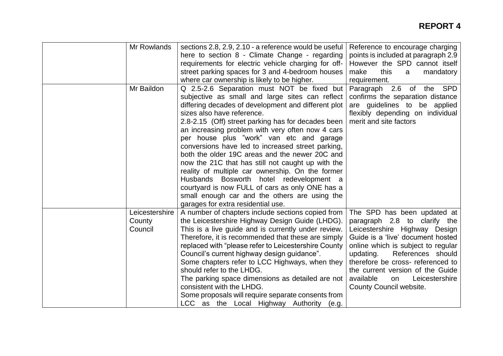| Mr Rowlands                         | sections 2.8, 2.9, 2.10 - a reference would be useful<br>here to section 8 - Climate Change - regarding<br>requirements for electric vehicle charging for off-<br>street parking spaces for 3 and 4-bedroom houses<br>where car ownership is likely to be higher.                                                                                                                                                                                                                                                                                                                                                                                                                                                                             | Reference to encourage charging<br>points is included at paragraph 2.9<br>However the SPD cannot itself<br>make<br>this<br>mandatory<br>a<br>requirement.                                                                                                                                                                                          |
|-------------------------------------|-----------------------------------------------------------------------------------------------------------------------------------------------------------------------------------------------------------------------------------------------------------------------------------------------------------------------------------------------------------------------------------------------------------------------------------------------------------------------------------------------------------------------------------------------------------------------------------------------------------------------------------------------------------------------------------------------------------------------------------------------|----------------------------------------------------------------------------------------------------------------------------------------------------------------------------------------------------------------------------------------------------------------------------------------------------------------------------------------------------|
| Mr Baildon                          | Q 2.5-2.6 Separation must NOT be fixed but<br>subjective as small and large sites can reflect<br>differing decades of development and different plot<br>sizes also have reference.<br>2.8-2.15 (Off) street parking has for decades been<br>an increasing problem with very often now 4 cars<br>per house plus "work" van etc and garage<br>conversions have led to increased street parking,<br>both the older 19C areas and the newer 20C and<br>now the 21C that has still not caught up with the<br>reality of multiple car ownership. On the former<br>Husbands Bosworth hotel redevelopment a<br>courtyard is now FULL of cars as only ONE has a<br>small enough car and the others are using the<br>garages for extra residential use. | the SPD<br>Paragraph 2.6 of<br>confirms the separation distance<br>are guidelines to be applied<br>flexibly depending on individual<br>merit and site factors                                                                                                                                                                                      |
| Leicestershire<br>County<br>Council | A number of chapters include sections copied from<br>the Leicestershire Highway Design Guide (LHDG).<br>This is a live guide and is currently under review.<br>Therefore, it is recommended that these are simply<br>replaced with "please refer to Leicestershire County<br>Council's current highway design guidance".<br>Some chapters refer to LCC Highways, when they<br>should refer to the LHDG.<br>The parking space dimensions as detailed are not<br>consistent with the LHDG.<br>Some proposals will require separate consents from<br>LCC as the Local Highway Authority<br>(e.g.                                                                                                                                                 | The SPD has been updated at<br>paragraph 2.8 to clarify the<br>Leicestershire Highway Design<br>Guide is a 'live' document hosted<br>online which is subject to regular<br>References should<br>updating.<br>therefore be cross- referenced to<br>the current version of the Guide<br>available<br>Leicestershire<br>on<br>County Council website. |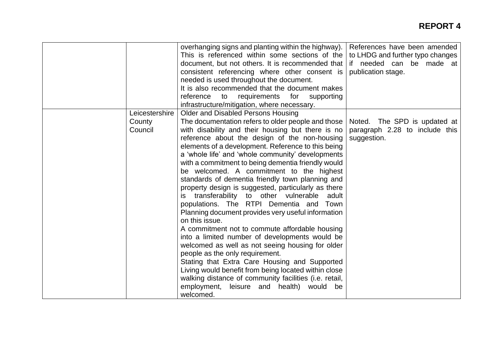|                                     | overhanging signs and planting within the highway).<br>This is referenced within some sections of the<br>document, but not others. It is recommended that<br>consistent referencing where other consent is<br>needed is used throughout the document.<br>It is also recommended that the document makes<br>requirements for<br>reference<br>to<br>supporting<br>infrastructure/mitigation, where necessary.                                                                                                                                                                                                                                                                                                                                                                                                                                                                                                                                                                                                                                                                                                             | References have been amended<br>to LHDG and further typo changes<br>if needed can be made at<br>publication stage. |
|-------------------------------------|-------------------------------------------------------------------------------------------------------------------------------------------------------------------------------------------------------------------------------------------------------------------------------------------------------------------------------------------------------------------------------------------------------------------------------------------------------------------------------------------------------------------------------------------------------------------------------------------------------------------------------------------------------------------------------------------------------------------------------------------------------------------------------------------------------------------------------------------------------------------------------------------------------------------------------------------------------------------------------------------------------------------------------------------------------------------------------------------------------------------------|--------------------------------------------------------------------------------------------------------------------|
| Leicestershire<br>County<br>Council | <b>Older and Disabled Persons Housing</b><br>The documentation refers to older people and those<br>with disability and their housing but there is no<br>reference about the design of the non-housing<br>elements of a development. Reference to this being<br>a 'whole life' and 'whole community' developments<br>with a commitment to being dementia friendly would<br>be welcomed. A commitment to the highest<br>standards of dementia friendly town planning and<br>property design is suggested, particularly as there<br>transferability to other vulnerable adult<br>populations. The RTPI Dementia and Town<br>Planning document provides very useful information<br>on this issue.<br>A commitment not to commute affordable housing<br>into a limited number of developments would be<br>welcomed as well as not seeing housing for older<br>people as the only requirement.<br>Stating that Extra Care Housing and Supported<br>Living would benefit from being located within close<br>walking distance of community facilities (i.e. retail,<br>employment, leisure and health) would<br>be<br>welcomed. | Noted. The SPD is updated at<br>paragraph 2.28 to include this<br>suggestion.                                      |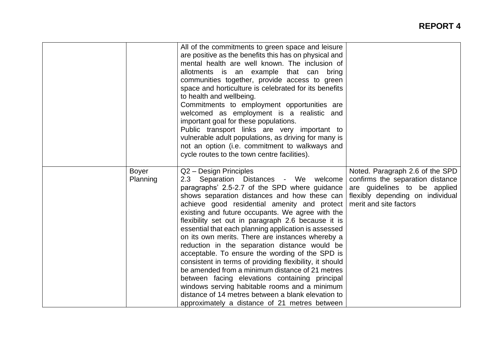|                          | All of the commitments to green space and leisure<br>are positive as the benefits this has on physical and<br>mental health are well known. The inclusion of<br>allotments is an example that can bring<br>communities together, provide access to green<br>space and horticulture is celebrated for its benefits<br>to health and wellbeing.<br>Commitments to employment opportunities are<br>welcomed as employment is a realistic and<br>important goal for these populations.<br>Public transport links are very important to<br>vulnerable adult populations, as driving for many is<br>not an option (i.e. commitment to walkways and<br>cycle routes to the town centre facilities).                                                                                                                                                                       |                                                                                                                                                                   |
|--------------------------|--------------------------------------------------------------------------------------------------------------------------------------------------------------------------------------------------------------------------------------------------------------------------------------------------------------------------------------------------------------------------------------------------------------------------------------------------------------------------------------------------------------------------------------------------------------------------------------------------------------------------------------------------------------------------------------------------------------------------------------------------------------------------------------------------------------------------------------------------------------------|-------------------------------------------------------------------------------------------------------------------------------------------------------------------|
| <b>Boyer</b><br>Planning | Q2 - Design Principles<br>2.3 Separation Distances - We welcome<br>paragraphs' 2.5-2.7 of the SPD where guidance<br>shows separation distances and how these can<br>achieve good residential amenity and protect<br>existing and future occupants. We agree with the<br>flexibility set out in paragraph 2.6 because it is<br>essential that each planning application is assessed<br>on its own merits. There are instances whereby a<br>reduction in the separation distance would be<br>acceptable. To ensure the wording of the SPD is<br>consistent in terms of providing flexibility, it should<br>be amended from a minimum distance of 21 metres<br>between facing elevations containing principal<br>windows serving habitable rooms and a minimum<br>distance of 14 metres between a blank elevation to<br>approximately a distance of 21 metres between | Noted. Paragraph 2.6 of the SPD<br>confirms the separation distance<br>are guidelines to be applied<br>flexibly depending on individual<br>merit and site factors |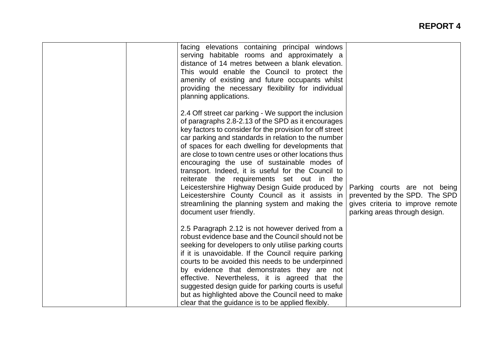| facing elevations containing principal windows<br>serving habitable rooms and approximately a<br>distance of 14 metres between a blank elevation.<br>This would enable the Council to protect the<br>amenity of existing and future occupants whilst<br>providing the necessary flexibility for individual<br>planning applications.                                                                                                                                                                                                                                                                                                                                              |                                                                                                                                    |
|-----------------------------------------------------------------------------------------------------------------------------------------------------------------------------------------------------------------------------------------------------------------------------------------------------------------------------------------------------------------------------------------------------------------------------------------------------------------------------------------------------------------------------------------------------------------------------------------------------------------------------------------------------------------------------------|------------------------------------------------------------------------------------------------------------------------------------|
| 2.4 Off street car parking - We support the inclusion<br>of paragraphs 2.8-2.13 of the SPD as it encourages<br>key factors to consider for the provision for off street<br>car parking and standards in relation to the number<br>of spaces for each dwelling for developments that<br>are close to town centre uses or other locations thus<br>encouraging the use of sustainable modes of<br>transport. Indeed, it is useful for the Council to<br>reiterate the requirements set out in the<br>Leicestershire Highway Design Guide produced by<br>Leicestershire County Council as it assists in<br>streamlining the planning system and making the<br>document user friendly. | Parking courts are not being<br>prevented by the SPD. The SPD<br>gives criteria to improve remote<br>parking areas through design. |
| 2.5 Paragraph 2.12 is not however derived from a<br>robust evidence base and the Council should not be<br>seeking for developers to only utilise parking courts<br>if it is unavoidable. If the Council require parking<br>courts to be avoided this needs to be underpinned<br>by evidence that demonstrates they are not<br>effective. Nevertheless, it is agreed that the<br>suggested design guide for parking courts is useful<br>but as highlighted above the Council need to make<br>clear that the guidance is to be applied flexibly.                                                                                                                                    |                                                                                                                                    |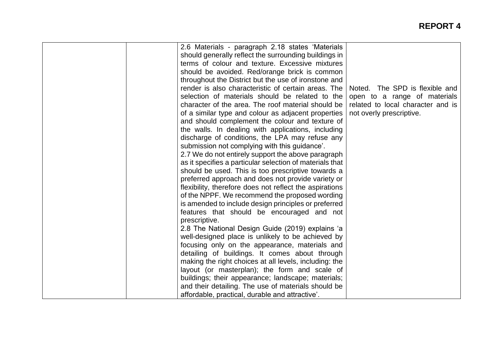| 2.6 Materials - paragraph 2.18 states 'Materials         |                                   |
|----------------------------------------------------------|-----------------------------------|
| should generally reflect the surrounding buildings in    |                                   |
| terms of colour and texture. Excessive mixtures          |                                   |
| should be avoided. Red/orange brick is common            |                                   |
| throughout the District but the use of ironstone and     |                                   |
| render is also characteristic of certain areas. The      | Noted. The SPD is flexible and    |
| selection of materials should be related to the          | open to a range of materials      |
| character of the area. The roof material should be       | related to local character and is |
| of a similar type and colour as adjacent properties      | not overly prescriptive.          |
| and should complement the colour and texture of          |                                   |
| the walls. In dealing with applications, including       |                                   |
| discharge of conditions, the LPA may refuse any          |                                   |
| submission not complying with this guidance'.            |                                   |
| 2.7 We do not entirely support the above paragraph       |                                   |
| as it specifies a particular selection of materials that |                                   |
| should be used. This is too prescriptive towards a       |                                   |
| preferred approach and does not provide variety or       |                                   |
| flexibility, therefore does not reflect the aspirations  |                                   |
| of the NPPF. We recommend the proposed wording           |                                   |
| is amended to include design principles or preferred     |                                   |
| features that should be encouraged and not               |                                   |
| prescriptive.                                            |                                   |
| 2.8 The National Design Guide (2019) explains 'a         |                                   |
| well-designed place is unlikely to be achieved by        |                                   |
| focusing only on the appearance, materials and           |                                   |
| detailing of buildings. It comes about through           |                                   |
| making the right choices at all levels, including: the   |                                   |
| layout (or masterplan); the form and scale of            |                                   |
| buildings; their appearance; landscape; materials;       |                                   |
| and their detailing. The use of materials should be      |                                   |
| affordable, practical, durable and attractive'.          |                                   |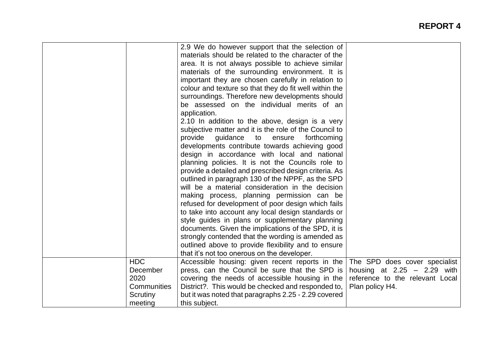|             | 2.9 We do however support that the selection of        |                                 |
|-------------|--------------------------------------------------------|---------------------------------|
|             | materials should be related to the character of the    |                                 |
|             | area. It is not always possible to achieve similar     |                                 |
|             | materials of the surrounding environment. It is        |                                 |
|             | important they are chosen carefully in relation to     |                                 |
|             | colour and texture so that they do fit well within the |                                 |
|             | surroundings. Therefore new developments should        |                                 |
|             | be assessed on the individual merits of an             |                                 |
|             | application.                                           |                                 |
|             | 2.10 In addition to the above, design is a very        |                                 |
|             | subjective matter and it is the role of the Council to |                                 |
|             | provide<br>guidance<br>forthcoming<br>to<br>ensure     |                                 |
|             | developments contribute towards achieving good         |                                 |
|             | design in accordance with local and national           |                                 |
|             | planning policies. It is not the Councils role to      |                                 |
|             | provide a detailed and prescribed design criteria. As  |                                 |
|             | outlined in paragraph 130 of the NPPF, as the SPD      |                                 |
|             | will be a material consideration in the decision       |                                 |
|             | making process, planning permission can be             |                                 |
|             | refused for development of poor design which fails     |                                 |
|             | to take into account any local design standards or     |                                 |
|             | style guides in plans or supplementary planning        |                                 |
|             | documents. Given the implications of the SPD, it is    |                                 |
|             | strongly contended that the wording is amended as      |                                 |
|             | outlined above to provide flexibility and to ensure    |                                 |
|             | that it's not too onerous on the developer.            |                                 |
| <b>HDC</b>  | Accessible housing: given recent reports in the        | The SPD does cover specialist   |
| December    | press, can the Council be sure that the SPD is         | housing at $2.25 - 2.29$ with   |
| 2020        | covering the needs of accessible housing in the        | reference to the relevant Local |
| Communities | District?. This would be checked and responded to,     |                                 |
|             |                                                        | Plan policy H4.                 |
| Scrutiny    | but it was noted that paragraphs 2.25 - 2.29 covered   |                                 |
| meeting     | this subject.                                          |                                 |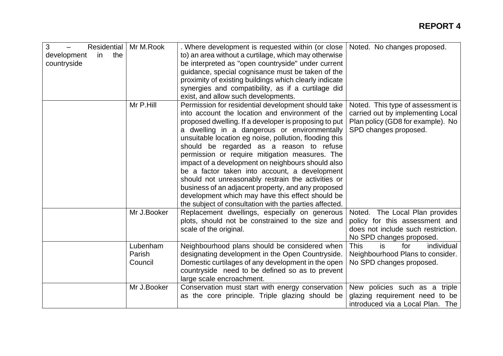| 3<br>Residential<br>the<br>development<br>in.<br>countryside | Mr M.Rook                     | . Where development is requested within (or close<br>to) an area without a curtilage, which may otherwise<br>be interpreted as "open countryside" under current<br>guidance, special cognisance must be taken of the<br>proximity of existing buildings which clearly indicate<br>synergies and compatibility, as if a curtilage did<br>exist, and allow such developments.                                                                                                                                                                                                                                                                                                                             | Noted. No changes proposed.                                                                                                          |
|--------------------------------------------------------------|-------------------------------|---------------------------------------------------------------------------------------------------------------------------------------------------------------------------------------------------------------------------------------------------------------------------------------------------------------------------------------------------------------------------------------------------------------------------------------------------------------------------------------------------------------------------------------------------------------------------------------------------------------------------------------------------------------------------------------------------------|--------------------------------------------------------------------------------------------------------------------------------------|
|                                                              | Mr P.Hill                     | Permission for residential development should take<br>into account the location and environment of the<br>proposed dwelling. If a developer is proposing to put<br>a dwelling in a dangerous or environmentally<br>unsuitable location eg noise, pollution, flooding this<br>should be regarded as a reason to refuse<br>permission or require mitigation measures. The<br>impact of a development on neighbours should also<br>be a factor taken into account, a development<br>should not unreasonably restrain the activities or<br>business of an adjacent property, and any proposed<br>development which may have this effect should be<br>the subject of consultation with the parties affected. | Noted. This type of assessment is<br>carried out by implementing Local<br>Plan policy (GD8 for example). No<br>SPD changes proposed. |
|                                                              | Mr J.Booker                   | Replacement dwellings, especially on generous<br>plots, should not be constrained to the size and<br>scale of the original.                                                                                                                                                                                                                                                                                                                                                                                                                                                                                                                                                                             | Noted. The Local Plan provides<br>policy for this assessment and<br>does not include such restriction.<br>No SPD changes proposed.   |
|                                                              | Lubenham<br>Parish<br>Council | Neighbourhood plans should be considered when<br>designating development in the Open Countryside.<br>Domestic curtilages of any development in the open<br>countryside need to be defined so as to prevent<br>large scale encroachment.                                                                                                                                                                                                                                                                                                                                                                                                                                                                 | <b>This</b><br>is.<br>for<br>individual<br>Neighbourhood Plans to consider.<br>No SPD changes proposed.                              |
|                                                              | Mr J.Booker                   | Conservation must start with energy conservation<br>as the core principle. Triple glazing should be                                                                                                                                                                                                                                                                                                                                                                                                                                                                                                                                                                                                     | New policies such as a triple<br>glazing requirement need to be<br>introduced via a Local Plan. The                                  |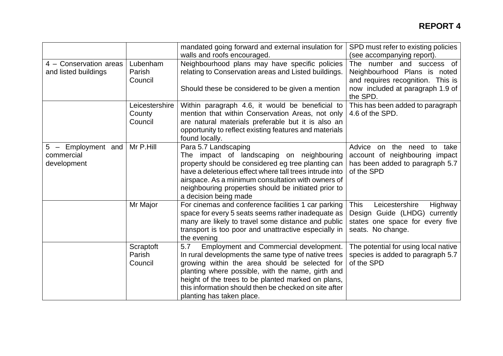|                                                 |                                     | mandated going forward and external insulation for<br>walls and roofs encouraged.                                                                                                                                                                                                                                                                       | SPD must refer to existing policies<br>(see accompanying report).                                                                 |
|-------------------------------------------------|-------------------------------------|---------------------------------------------------------------------------------------------------------------------------------------------------------------------------------------------------------------------------------------------------------------------------------------------------------------------------------------------------------|-----------------------------------------------------------------------------------------------------------------------------------|
| 4 - Conservation areas<br>and listed buildings  | Lubenham<br>Parish<br>Council       | Neighbourhood plans may have specific policies<br>relating to Conservation areas and Listed buildings.                                                                                                                                                                                                                                                  | The number and success of<br>Neighbourhood Plans is noted<br>and requires recognition. This is                                    |
|                                                 |                                     | Should these be considered to be given a mention                                                                                                                                                                                                                                                                                                        | now included at paragraph 1.9 of<br>the SPD.                                                                                      |
|                                                 | Leicestershire<br>County<br>Council | Within paragraph 4.6, it would be beneficial to<br>mention that within Conservation Areas, not only<br>are natural materials preferable but it is also an<br>opportunity to reflect existing features and materials<br>found locally.                                                                                                                   | This has been added to paragraph<br>4.6 of the SPD.                                                                               |
| 5 - Employment and<br>commercial<br>development | Mr P.Hill                           | Para 5.7 Landscaping<br>The impact of landscaping on neighbouring<br>property should be considered eg tree planting can<br>have a deleterious effect where tall trees intrude into<br>airspace. As a minimum consultation with owners of<br>neighbouring properties should be initiated prior to<br>a decision being made                               | Advice<br>on the need<br>take<br>to<br>account of neighbouring impact<br>has been added to paragraph 5.7<br>of the SPD            |
|                                                 | Mr Major                            | For cinemas and conference facilities 1 car parking<br>space for every 5 seats seems rather inadequate as<br>many are likely to travel some distance and public<br>transport is too poor and unattractive especially in<br>the evening                                                                                                                  | Leicestershire<br>Highway<br><b>This</b><br>Design Guide (LHDG) currently<br>states one space for every five<br>seats. No change. |
|                                                 | Scraptoft<br>Parish<br>Council      | Employment and Commercial development.<br>5.7<br>In rural developments the same type of native trees<br>growing within the area should be selected for<br>planting where possible, with the name, girth and<br>height of the trees to be planted marked on plans,<br>this information should then be checked on site after<br>planting has taken place. | The potential for using local native<br>species is added to paragraph 5.7<br>of the SPD                                           |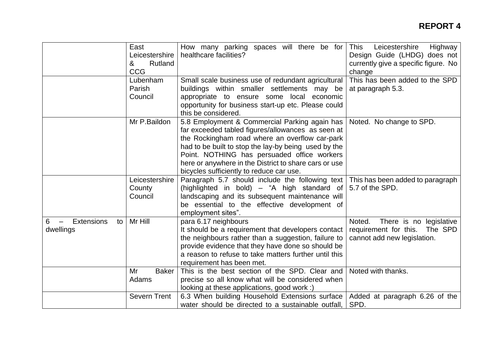|                                                                       | East<br>Leicestershire<br>&<br>Rutland<br><b>CCG</b> | How many parking spaces will there be for<br>healthcare facilities?                                                                                                                                                                                                                                                                                              | <b>This</b><br>Leicestershire<br>Highway<br>Design Guide (LHDG) does not<br>currently give a specific figure. No<br>change |
|-----------------------------------------------------------------------|------------------------------------------------------|------------------------------------------------------------------------------------------------------------------------------------------------------------------------------------------------------------------------------------------------------------------------------------------------------------------------------------------------------------------|----------------------------------------------------------------------------------------------------------------------------|
|                                                                       | Lubenham<br>Parish<br>Council                        | Small scale business use of redundant agricultural<br>buildings within smaller settlements may be<br>appropriate to ensure some local economic<br>opportunity for business start-up etc. Please could<br>this be considered.                                                                                                                                     | This has been added to the SPD<br>at paragraph 5.3.                                                                        |
|                                                                       | Mr P.Baildon                                         | 5.8 Employment & Commercial Parking again has<br>far exceeded tabled figures/allowances as seen at<br>the Rockingham road where an overflow car-park<br>had to be built to stop the lay-by being used by the<br>Point. NOTHING has persuaded office workers<br>here or anywhere in the District to share cars or use<br>bicycles sufficiently to reduce car use. | Noted. No change to SPD.                                                                                                   |
|                                                                       | Leicestershire<br>County<br>Council                  | Paragraph 5.7 should include the following text<br>(highlighted in bold) - "A high standard of<br>landscaping and its subsequent maintenance will<br>be essential to the effective development of<br>employment sites".                                                                                                                                          | This has been added to paragraph<br>5.7 of the SPD.                                                                        |
| <b>Extensions</b><br>6<br>to<br>$\overline{\phantom{m}}$<br>dwellings | Mr Hill                                              | para 6.17 neighbours<br>It should be a requirement that developers contact<br>the neighbours rather than a suggestion, failure to<br>provide evidence that they have done so should be<br>a reason to refuse to take matters further until this<br>requirement has been met.                                                                                     | There is no legislative<br>Noted.<br>requirement for this. The SPD<br>cannot add new legislation.                          |
|                                                                       | Mr<br><b>Baker</b><br>Adams                          | This is the best section of the SPD. Clear and<br>precise so all know what will be considered when<br>looking at these applications, good work :)                                                                                                                                                                                                                | Noted with thanks.                                                                                                         |
|                                                                       | <b>Severn Trent</b>                                  | 6.3 When building Household Extensions surface<br>water should be directed to a sustainable outfall,                                                                                                                                                                                                                                                             | Added at paragraph 6.26 of the<br>SPD.                                                                                     |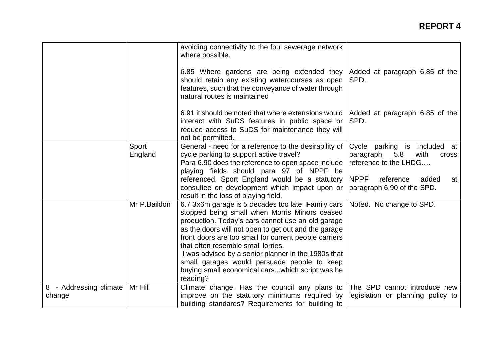|                                  |                  | avoiding connectivity to the foul sewerage network<br>where possible.                                                                                                                                                                                                                                           |                                                                                                   |
|----------------------------------|------------------|-----------------------------------------------------------------------------------------------------------------------------------------------------------------------------------------------------------------------------------------------------------------------------------------------------------------|---------------------------------------------------------------------------------------------------|
|                                  |                  | 6.85 Where gardens are being extended they<br>should retain any existing watercourses as open<br>features, such that the conveyance of water through<br>natural routes is maintained                                                                                                                            | Added at paragraph 6.85 of the<br>SPD.                                                            |
|                                  |                  | 6.91 it should be noted that where extensions would<br>interact with SuDS features in public space or<br>reduce access to SuDS for maintenance they will<br>not be permitted.                                                                                                                                   | Added at paragraph 6.85 of the<br>SPD.                                                            |
|                                  | Sport<br>England | General - need for a reference to the desirability of<br>cycle parking to support active travel?<br>Para 6.90 does the reference to open space include<br>playing fields should para 97 of NPPF be                                                                                                              | Cycle parking is included at<br>paragraph<br>5.8<br>with<br><b>Cross</b><br>reference to the LHDG |
|                                  |                  | referenced. Sport England would be a statutory<br>consultee on development which impact upon or<br>result in the loss of playing field.                                                                                                                                                                         | <b>NPPF</b><br>reference<br>added<br>at<br>paragraph 6.90 of the SPD.                             |
|                                  | Mr P.Baildon     | 6.7 3x6m garage is 5 decades too late. Family cars<br>stopped being small when Morris Minors ceased<br>production. Today's cars cannot use an old garage<br>as the doors will not open to get out and the garage<br>front doors are too small for current people carriers<br>that often resemble small lorries. | Noted. No change to SPD.                                                                          |
|                                  |                  | I was advised by a senior planner in the 1980s that<br>small garages would persuade people to keep<br>buying small economical carswhich script was he<br>reading?                                                                                                                                               |                                                                                                   |
| 8 - Addressing climate<br>change | Mr Hill          | Climate change. Has the council any plans to<br>improve on the statutory minimums required by<br>building standards? Requirements for building to                                                                                                                                                               | The SPD cannot introduce new<br>legislation or planning policy to                                 |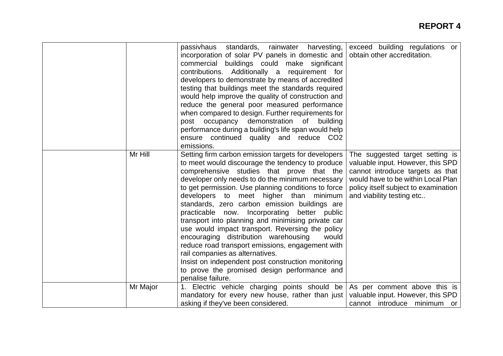|          | passivhaus standards, rainwater harvesting,<br>incorporation of solar PV panels in domestic and<br>commercial<br>buildings could make significant<br>contributions. Additionally a requirement for<br>developers to demonstrate by means of accredited<br>testing that buildings meet the standards required<br>would help improve the quality of construction and<br>reduce the general poor measured performance<br>when compared to design. Further requirements for<br>post occupancy<br>demonstration<br>of<br>building<br>performance during a building's life span would help<br>ensure continued quality and reduce CO2<br>emissions.                                                                                                                                           | exceed building regulations or<br>obtain other accreditation.                                                                                                                                                       |
|----------|-----------------------------------------------------------------------------------------------------------------------------------------------------------------------------------------------------------------------------------------------------------------------------------------------------------------------------------------------------------------------------------------------------------------------------------------------------------------------------------------------------------------------------------------------------------------------------------------------------------------------------------------------------------------------------------------------------------------------------------------------------------------------------------------|---------------------------------------------------------------------------------------------------------------------------------------------------------------------------------------------------------------------|
| Mr Hill  | Setting firm carbon emission targets for developers<br>to meet would discourage the tendency to produce<br>comprehensive studies that prove that the<br>developer only needs to do the minimum necessary<br>to get permission. Use planning conditions to force<br>developers to meet higher than minimum<br>standards, zero carbon emission buildings are<br>practicable now. Incorporating better public<br>transport into planning and minimising private car<br>use would impact transport. Reversing the policy<br>encouraging distribution warehousing<br>would<br>reduce road transport emissions, engagement with<br>rail companies as alternatives.<br>Insist on independent post construction monitoring<br>to prove the promised design performance and<br>penalise failure. | The suggested target setting is<br>valuable input. However, this SPD<br>cannot introduce targets as that<br>would have to be within Local Plan<br>policy itself subject to examination<br>and viability testing etc |
| Mr Major | 1. Electric vehicle charging points should be<br>mandatory for every new house, rather than just<br>asking if they've been considered.                                                                                                                                                                                                                                                                                                                                                                                                                                                                                                                                                                                                                                                  | As per comment above this is<br>valuable input. However, this SPD<br>cannot introduce minimum or                                                                                                                    |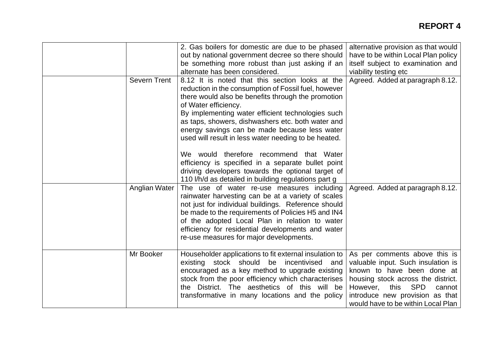|                     | 2. Gas boilers for domestic are due to be phased<br>out by national government decree so there should<br>be something more robust than just asking if an<br>alternate has been considered.                                                                                                                                                                                                                                                                                                                                                                                                                             | alternative provision as that would<br>have to be within Local Plan policy<br>itself subject to examination and<br>viability testing etc                                                                                                                     |
|---------------------|------------------------------------------------------------------------------------------------------------------------------------------------------------------------------------------------------------------------------------------------------------------------------------------------------------------------------------------------------------------------------------------------------------------------------------------------------------------------------------------------------------------------------------------------------------------------------------------------------------------------|--------------------------------------------------------------------------------------------------------------------------------------------------------------------------------------------------------------------------------------------------------------|
| <b>Severn Trent</b> | 8.12 It is noted that this section looks at the<br>reduction in the consumption of Fossil fuel, however<br>there would also be benefits through the promotion<br>of Water efficiency.<br>By implementing water efficient technologies such<br>as taps, showers, dishwashers etc. both water and<br>energy savings can be made because less water<br>used will result in less water needing to be heated.<br>We would therefore recommend that Water<br>efficiency is specified in a separate bullet point<br>driving developers towards the optional target of<br>110 I/h/d as detailed in building regulations part g | Agreed. Added at paragraph 8.12.                                                                                                                                                                                                                             |
| Anglian Water       | The use of water re-use measures including<br>rainwater harvesting can be at a variety of scales<br>not just for individual buildings. Reference should<br>be made to the requirements of Policies H5 and IN4<br>of the adopted Local Plan in relation to water<br>efficiency for residential developments and water<br>re-use measures for major developments.                                                                                                                                                                                                                                                        | Agreed. Added at paragraph 8.12.                                                                                                                                                                                                                             |
| Mr Booker           | Householder applications to fit external insulation to<br>existing stock should<br>incentivised<br>be<br>and<br>encouraged as a key method to upgrade existing<br>stock from the poor efficiency which characterises<br>the District. The aesthetics of this will be<br>transformative in many locations and the policy                                                                                                                                                                                                                                                                                                | As per comments above this is<br>valuable input. Such insulation is<br>known to have been done at<br>housing stock across the district.<br>this<br><b>SPD</b><br>However,<br>cannot<br>introduce new provision as that<br>would have to be within Local Plan |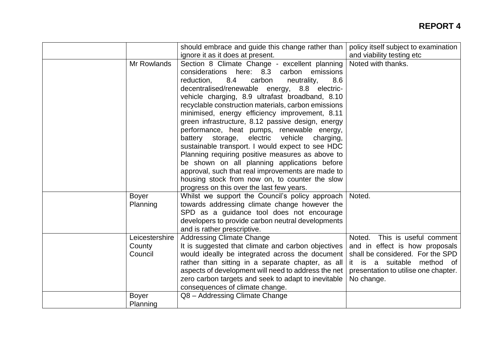|                                     | should embrace and guide this change rather than                                                                                                                                                                                                                                                                                                                                                                                                                                                                                                                                                                                                                                                                                                                                    | policy itself subject to examination                                                                                                                                                          |
|-------------------------------------|-------------------------------------------------------------------------------------------------------------------------------------------------------------------------------------------------------------------------------------------------------------------------------------------------------------------------------------------------------------------------------------------------------------------------------------------------------------------------------------------------------------------------------------------------------------------------------------------------------------------------------------------------------------------------------------------------------------------------------------------------------------------------------------|-----------------------------------------------------------------------------------------------------------------------------------------------------------------------------------------------|
|                                     | ignore it as it does at present.                                                                                                                                                                                                                                                                                                                                                                                                                                                                                                                                                                                                                                                                                                                                                    | and viability testing etc                                                                                                                                                                     |
| Mr Rowlands                         | Section 8 Climate Change - excellent planning<br>considerations here: 8.3 carbon emissions<br>8.4<br>carbon<br>neutrality,<br>8.6<br>reduction,<br>decentralised/renewable energy, 8.8 electric-<br>vehicle charging, 8.9 ultrafast broadband, 8.10<br>recyclable construction materials, carbon emissions<br>minimised, energy efficiency improvement, 8.11<br>green infrastructure, 8.12 passive design, energy<br>performance, heat pumps, renewable energy,<br>electric vehicle<br>battery storage,<br>charging,<br>sustainable transport. I would expect to see HDC<br>Planning requiring positive measures as above to<br>be shown on all planning applications before<br>approval, such that real improvements are made to<br>housing stock from now on, to counter the slow | Noted with thanks.                                                                                                                                                                            |
|                                     | progress on this over the last few years.                                                                                                                                                                                                                                                                                                                                                                                                                                                                                                                                                                                                                                                                                                                                           |                                                                                                                                                                                               |
| <b>Boyer</b><br>Planning            | Whilst we support the Council's policy approach<br>towards addressing climate change however the                                                                                                                                                                                                                                                                                                                                                                                                                                                                                                                                                                                                                                                                                    | Noted.                                                                                                                                                                                        |
|                                     | SPD as a guidance tool does not encourage<br>developers to provide carbon neutral developments<br>and is rather prescriptive.                                                                                                                                                                                                                                                                                                                                                                                                                                                                                                                                                                                                                                                       |                                                                                                                                                                                               |
| Leicestershire<br>County<br>Council | <b>Addressing Climate Change</b><br>It is suggested that climate and carbon objectives<br>would ideally be integrated across the document<br>rather than sitting in a separate chapter, as all<br>aspects of development will need to address the net<br>zero carbon targets and seek to adapt to inevitable<br>consequences of climate change.                                                                                                                                                                                                                                                                                                                                                                                                                                     | This is useful comment<br>Noted.<br>and in effect is how proposals<br>shall be considered. For the SPD<br>it is a suitable<br>method of<br>presentation to utilise one chapter.<br>No change. |
| <b>Boyer</b><br>Planning            | Q8 - Addressing Climate Change                                                                                                                                                                                                                                                                                                                                                                                                                                                                                                                                                                                                                                                                                                                                                      |                                                                                                                                                                                               |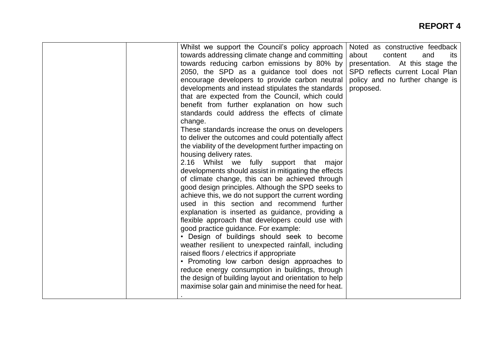# **REPORT 4**

|  | Whilst we support the Council's policy approach<br>towards addressing climate change and committing | Noted as constructive feedback<br>about<br>content<br>and<br>its |
|--|-----------------------------------------------------------------------------------------------------|------------------------------------------------------------------|
|  | towards reducing carbon emissions by 80% by                                                         | presentation. At this stage the                                  |
|  | 2050, the SPD as a guidance tool does not                                                           | SPD reflects current Local Plan                                  |
|  | encourage developers to provide carbon neutral                                                      | policy and no further change is                                  |
|  | developments and instead stipulates the standards                                                   | proposed.                                                        |
|  | that are expected from the Council, which could                                                     |                                                                  |
|  | benefit from further explanation on how such                                                        |                                                                  |
|  | standards could address the effects of climate                                                      |                                                                  |
|  | change.                                                                                             |                                                                  |
|  | These standards increase the onus on developers                                                     |                                                                  |
|  | to deliver the outcomes and could potentially affect                                                |                                                                  |
|  | the viability of the development further impacting on                                               |                                                                  |
|  | housing delivery rates.                                                                             |                                                                  |
|  | 2.16 Whilst we fully support that<br>major                                                          |                                                                  |
|  | developments should assist in mitigating the effects                                                |                                                                  |
|  | of climate change, this can be achieved through                                                     |                                                                  |
|  | good design principles. Although the SPD seeks to                                                   |                                                                  |
|  | achieve this, we do not support the current wording                                                 |                                                                  |
|  | used in this section and recommend further                                                          |                                                                  |
|  | explanation is inserted as guidance, providing a                                                    |                                                                  |
|  | flexible approach that developers could use with                                                    |                                                                  |
|  | good practice guidance. For example:                                                                |                                                                  |
|  | • Design of buildings should seek to become                                                         |                                                                  |
|  | weather resilient to unexpected rainfall, including                                                 |                                                                  |
|  | raised floors / electrics if appropriate                                                            |                                                                  |
|  | • Promoting low carbon design approaches to                                                         |                                                                  |
|  | reduce energy consumption in buildings, through                                                     |                                                                  |
|  | the design of building layout and orientation to help                                               |                                                                  |
|  | maximise solar gain and minimise the need for heat.                                                 |                                                                  |
|  |                                                                                                     |                                                                  |
|  |                                                                                                     |                                                                  |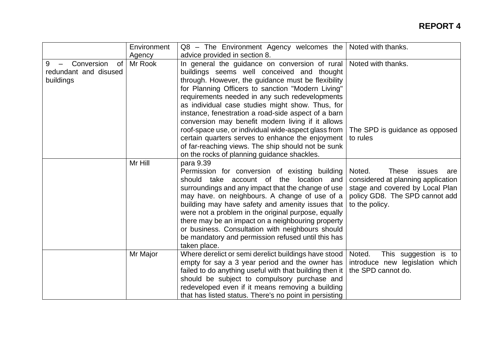|                                                                    | Environment<br>Agency | Q8 - The Environment Agency welcomes the<br>advice provided in section 8.                                                                                                                                                                                                                                                                                                                                                                                                                                                                                  | Noted with thanks.                                                                                                                                                   |
|--------------------------------------------------------------------|-----------------------|------------------------------------------------------------------------------------------------------------------------------------------------------------------------------------------------------------------------------------------------------------------------------------------------------------------------------------------------------------------------------------------------------------------------------------------------------------------------------------------------------------------------------------------------------------|----------------------------------------------------------------------------------------------------------------------------------------------------------------------|
| Conversion<br><b>of</b><br>9<br>redundant and disused<br>buildings | Mr Rook               | In general the guidance on conversion of rural   Noted with thanks.<br>buildings seems well conceived and thought<br>through. However, the guidance must be flexibility<br>for Planning Officers to sanction "Modern Living"<br>requirements needed in any such redevelopments<br>as individual case studies might show. Thus, for<br>instance, fenestration a road-side aspect of a barn<br>conversion may benefit modern living if it allows<br>roof-space use, or individual wide-aspect glass from<br>certain quarters serves to enhance the enjoyment | The SPD is guidance as opposed<br>to rules                                                                                                                           |
|                                                                    |                       | of far-reaching views. The ship should not be sunk<br>on the rocks of planning guidance shackles.                                                                                                                                                                                                                                                                                                                                                                                                                                                          |                                                                                                                                                                      |
|                                                                    | Mr Hill               | para 9.39<br>Permission for conversion of existing building<br>should take account of the<br>location and<br>surroundings and any impact that the change of use<br>may have. on neighbours. A change of use of a<br>building may have safety and amenity issues that<br>were not a problem in the original purpose, equally<br>there may be an impact on a neighbouring property<br>or business. Consultation with neighbours should<br>be mandatory and permission refused until this has<br>taken place.                                                 | Noted.<br><b>These</b><br>issues<br>are<br>considered at planning application<br>stage and covered by Local Plan<br>policy GD8. The SPD cannot add<br>to the policy. |
|                                                                    | Mr Major              | Where derelict or semi derelict buildings have stood<br>empty for say a 3 year period and the owner has<br>failed to do anything useful with that building then it<br>should be subject to compulsory purchase and<br>redeveloped even if it means removing a building<br>that has listed status. There's no point in persisting                                                                                                                                                                                                                           | This suggestion is to<br>Noted.<br>introduce new legislation which<br>the SPD cannot do.                                                                             |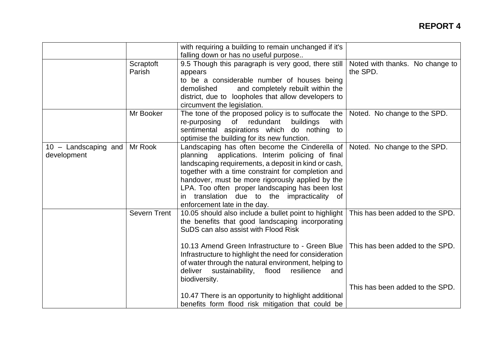|                                       |                     | with requiring a building to remain unchanged if it's<br>falling down or has no useful purpose                                                                                                                                                                                                                                                                                                            |                                             |
|---------------------------------------|---------------------|-----------------------------------------------------------------------------------------------------------------------------------------------------------------------------------------------------------------------------------------------------------------------------------------------------------------------------------------------------------------------------------------------------------|---------------------------------------------|
|                                       | Scraptoft<br>Parish | 9.5 Though this paragraph is very good, there still<br>appears<br>to be a considerable number of houses being<br>and completely rebuilt within the<br>demolished<br>district, due to loopholes that allow developers to<br>circumvent the legislation.                                                                                                                                                    | Noted with thanks. No change to<br>the SPD. |
|                                       | Mr Booker           | The tone of the proposed policy is to suffocate the<br>re-purposing of redundant<br>buildings<br>with<br>sentimental aspirations which do nothing to<br>optimise the building for its new function.                                                                                                                                                                                                       | Noted. No change to the SPD.                |
| $10 -$ Landscaping and<br>development | Mr Rook             | Landscaping has often become the Cinderella of<br>applications. Interim policing of final<br>planning<br>landscaping requirements, a deposit in kind or cash,<br>together with a time constraint for completion and<br>handover, must be more rigorously applied by the<br>LPA. Too often proper landscaping has been lost<br>in translation due to the impracticality of<br>enforcement late in the day. | Noted. No change to the SPD.                |
|                                       | <b>Severn Trent</b> | 10.05 should also include a bullet point to highlight<br>the benefits that good landscaping incorporating<br>SuDS can also assist with Flood Risk                                                                                                                                                                                                                                                         | This has been added to the SPD.             |
|                                       |                     | 10.13 Amend Green Infrastructure to - Green Blue<br>Infrastructure to highlight the need for consideration<br>of water through the natural environment, helping to<br>deliver sustainability,<br>flood<br>resilience<br>and<br>biodiversity.                                                                                                                                                              | This has been added to the SPD.             |
|                                       |                     | 10.47 There is an opportunity to highlight additional<br>benefits form flood risk mitigation that could be                                                                                                                                                                                                                                                                                                | This has been added to the SPD.             |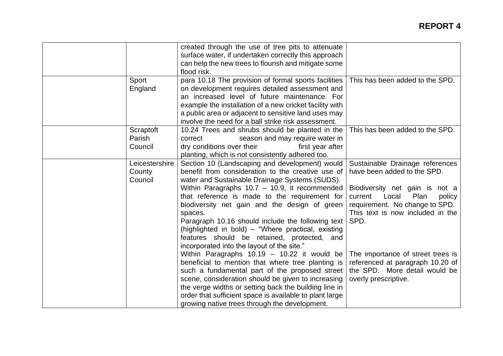|                                     | created through the use of tree pits to attenuate<br>surface water, if undertaken correctly this approach<br>can help the new trees to flourish and mitigate some<br>flood risk.                                                                                                                                                                                                                                                                                                                                               |                                                                                                                                                                                                                      |
|-------------------------------------|--------------------------------------------------------------------------------------------------------------------------------------------------------------------------------------------------------------------------------------------------------------------------------------------------------------------------------------------------------------------------------------------------------------------------------------------------------------------------------------------------------------------------------|----------------------------------------------------------------------------------------------------------------------------------------------------------------------------------------------------------------------|
| Sport<br>England                    | para 10.18 The provision of formal sports facilities<br>on development requires detailed assessment and<br>an increased level of future maintenance. For<br>example the installation of a new cricket facility with<br>a public area or adjacent to sensitive land uses may<br>involve the need for a ball strike risk assessment.                                                                                                                                                                                             | This has been added to the SPD.                                                                                                                                                                                      |
| Scraptoft<br>Parish<br>Council      | 10.24 Trees and shrubs should be planted in the<br>season and may require water in<br>correct<br>dry conditions over their<br>first year after<br>planting, which is not consistently adhered too.                                                                                                                                                                                                                                                                                                                             | This has been added to the SPD.                                                                                                                                                                                      |
| Leicestershire<br>County<br>Council | Section 10 (Landscaping and development) would<br>benefit from consideration to the creative use of<br>water and Sustainable Drainage Systems (SUDS).<br>Within Paragraphs $10.7 - 10.9$ , it recommended<br>that reference is made to the requirement for<br>biodiversity net gain and the design of green<br>spaces.<br>Paragraph 10.16 should include the following text<br>(highlighted in bold) - "Where practical, existing<br>features should be retained, protected, and<br>incorporated into the layout of the site." | Sustainable Drainage references<br>have been added to the SPD.<br>Biodiversity net gain is not a<br>current<br>Local<br>Plan<br>policy<br>requirement. No change to SPD.<br>This text is now included in the<br>SPD. |
|                                     | Within Paragraphs 10.19 - 10.22 it would be<br>beneficial to mention that where tree planting is<br>such a fundamental part of the proposed street<br>scene, consideration should be given to increasing<br>the verge widths or setting back the building line in<br>order that sufficient space is available to plant large<br>growing native trees through the development.                                                                                                                                                  | The importance of street trees is<br>referenced at paragraph 10.20 of<br>the SPD. More detail would be<br>overly prescriptive.                                                                                       |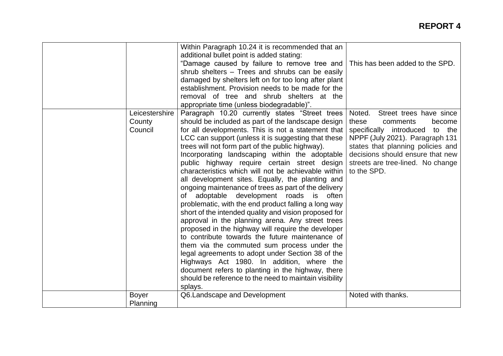|                                     | Within Paragraph 10.24 it is recommended that an<br>additional bullet point is added stating:<br>"Damage caused by failure to remove tree and  <br>shrub shelters - Trees and shrubs can be easily<br>damaged by shelters left on for too long after plant<br>establishment. Provision needs to be made for the<br>removal of tree and shrub shelters at the<br>appropriate time (unless biodegradable)".                                                                                                                                                                                                                                                                                                                                                                                                                                                                                                                                                                                                                                                                                                                                         | This has been added to the SPD.                                                                                                                                                                                                                                       |
|-------------------------------------|---------------------------------------------------------------------------------------------------------------------------------------------------------------------------------------------------------------------------------------------------------------------------------------------------------------------------------------------------------------------------------------------------------------------------------------------------------------------------------------------------------------------------------------------------------------------------------------------------------------------------------------------------------------------------------------------------------------------------------------------------------------------------------------------------------------------------------------------------------------------------------------------------------------------------------------------------------------------------------------------------------------------------------------------------------------------------------------------------------------------------------------------------|-----------------------------------------------------------------------------------------------------------------------------------------------------------------------------------------------------------------------------------------------------------------------|
| Leicestershire<br>County<br>Council | Paragraph 10.20 currently states "Street trees<br>should be included as part of the landscape design<br>for all developments. This is not a statement that<br>LCC can support (unless it is suggesting that these<br>trees will not form part of the public highway).<br>Incorporating landscaping within the adoptable<br>public highway require certain street design<br>characteristics which will not be achievable within<br>all development sites. Equally, the planting and<br>ongoing maintenance of trees as part of the delivery<br>adoptable development roads is often<br>of<br>problematic, with the end product falling a long way<br>short of the intended quality and vision proposed for<br>approval in the planning arena. Any street trees<br>proposed in the highway will require the developer<br>to contribute towards the future maintenance of<br>them via the commuted sum process under the<br>legal agreements to adopt under Section 38 of the<br>Highways Act 1980. In addition, where the<br>document refers to planting in the highway, there<br>should be reference to the need to maintain visibility<br>splays. | Street trees have since<br>Noted.<br>these<br>comments<br>become<br>specifically introduced<br>to the<br>NPPF (July 2021). Paragraph 131<br>states that planning policies and<br>decisions should ensure that new<br>streets are tree-lined. No change<br>to the SPD. |
| <b>Boyer</b><br>Planning            | Q6.Landscape and Development                                                                                                                                                                                                                                                                                                                                                                                                                                                                                                                                                                                                                                                                                                                                                                                                                                                                                                                                                                                                                                                                                                                      | Noted with thanks.                                                                                                                                                                                                                                                    |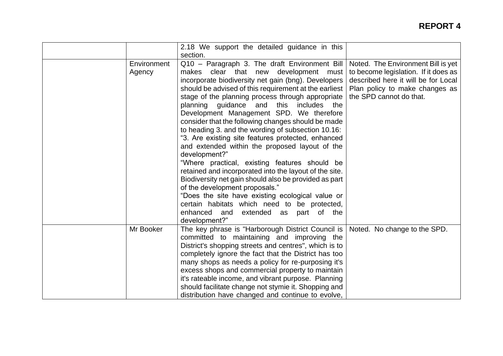|                       | 2.18 We support the detailed guidance in this                                                                                                                                                                                                                                                                                                                                                                                                                                                                                                                                                                                                                                                                                                                                                                                                                                                                                             |                                                                                                                                                                                |
|-----------------------|-------------------------------------------------------------------------------------------------------------------------------------------------------------------------------------------------------------------------------------------------------------------------------------------------------------------------------------------------------------------------------------------------------------------------------------------------------------------------------------------------------------------------------------------------------------------------------------------------------------------------------------------------------------------------------------------------------------------------------------------------------------------------------------------------------------------------------------------------------------------------------------------------------------------------------------------|--------------------------------------------------------------------------------------------------------------------------------------------------------------------------------|
|                       | section.                                                                                                                                                                                                                                                                                                                                                                                                                                                                                                                                                                                                                                                                                                                                                                                                                                                                                                                                  |                                                                                                                                                                                |
| Environment<br>Agency | Q10 - Paragraph 3. The draft Environment Bill<br>makes clear that new development must<br>incorporate biodiversity net gain (bng). Developers<br>should be advised of this requirement at the earliest<br>stage of the planning process through appropriate<br>planning quidance and this includes the<br>Development Management SPD. We therefore<br>consider that the following changes should be made<br>to heading 3. and the wording of subsection 10.16:<br>"3. Are existing site features protected, enhanced<br>and extended within the proposed layout of the<br>development?"<br>"Where practical, existing features should be<br>retained and incorporated into the layout of the site.<br>Biodiversity net gain should also be provided as part<br>of the development proposals."<br>"Does the site have existing ecological value or<br>certain habitats which need to be protected,<br>enhanced and extended as part of the | Noted. The Environment Bill is yet<br>to become legislation. If it does as<br>described here it will be for Local<br>Plan policy to make changes as<br>the SPD cannot do that. |
|                       | development?"                                                                                                                                                                                                                                                                                                                                                                                                                                                                                                                                                                                                                                                                                                                                                                                                                                                                                                                             |                                                                                                                                                                                |
| Mr Booker             | The key phrase is "Harborough District Council is  <br>committed to maintaining and improving the<br>District's shopping streets and centres", which is to<br>completely ignore the fact that the District has too<br>many shops as needs a policy for re-purposing it's<br>excess shops and commercial property to maintain<br>it's rateable income, and vibrant purpose. Planning<br>should facilitate change not stymie it. Shopping and<br>distribution have changed and continue to evolve,                                                                                                                                                                                                                                                                                                                                                                                                                                          | Noted. No change to the SPD.                                                                                                                                                   |